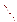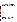# **Consumer Factsheet on: HEPTACHLOR AND HEPTACHLOR EPOXIDE**

[List of Contaminants](http://www.epa.gov/safewater/hfacts.html) 

 As part of the Drinking Water and Health pages, this fact sheet is part of a larger publication: **National Primary Drinking Water Regulations** 

 States Environmental Protection Agency (EPA). This is a factsheet about a chemical that may be found in some public or private drinking water supplies. It may cause health problems if found in amounts greater than the health standard set by the United

### **What is Heptachlor and how is it used?**

 control in buried, pad-mounted electric power transformers, and in underground cable television and Heptachlor is a white to tan waxy organic solid with a camphor-like odor. The epoxide is formed from heptachlor in the environment. It was once used as a non-agricultural insecticide. Most uses of the product were canceled in 1978. The only permitted commercial use of heptachlor products is for fire ant telephone cable boxes.

 The list of trade names given below may help you find out whether you are using this chemical at home or work.

#### **Trade Names and Synonyms:**

 Velsicol 104 Aahepta Agroceres **Hepta** Heptachlordane Heptagran Heptamul **Heptox** Gold Crest H-60 **Rhodiachlor Basaklor Soleptax Termide** 

#### **Why is Heptachlor being Regulated?**

 based solely on possible health risks and exposure, are called Maximum Contaminant Level Goals. In 1974, Congress passed the Safe Drinking Water Act. This law requires EPA to determine safe levels of chemicals in drinking water which do or may cause health problems. These non-enforceable levels,

 protection would not cause any of the potential health problems described below. The MCLGs for heptachlor and its epoxide have been set at zero because EPA believes this level of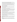(MCLs). MCLs are set as close to the MCLGs as possible, considering the ability of public water systems Based on these MCLGs, EPA has set enforceable standards called Maximum Contaminant Levels to detect and remove contaminants using suitable treatment technologies.

 The MCL for heptachlor has been set at 0.4 parts per billion (ppb) because EPA believes, given present technology and resources, this is the lowest level to which water systems can reasonably be required to remove this contaminant should it occur in drinking water. The MCL for the epoxide is 0.2 ppb.

These drinking water standards and the regulations for ensuring these standards are met, are called National Primary Drinking Water Regulations. All public water supplies must abide by these regulations.

#### **What are the Health Effects?**

 Short-term: EPA has found heptachlor and its epoxide to potentially cause the following health effects when people are exposed to it at levels above the MCL for relatively short periods of time: liver and central nervous system damage.

Long-term: Heptachlor and its epoxide have the potential to cause the following effects from a lifetime exposure at levels above the MCL: extensive liver damage; cancer.

# **How much Heptachlor is produced and released to the environment?**

 Production of heptachlor in 1982 was nearly 100,000 lbs. Heptachlor may be released directly to the soil in connection with its use in termite and fire ant control. However, heptachlor has been found in treated wastewater from some types of industrial facilities.

Heptachlor epoxide is not produced commercially, but rather is formed by the chemical and biological transformation of heptachlor in the environment.

#### **What happens to Heptachlor when it is released to the environment?**

 Heptachlor is expected to adsorb strongly to soil and so resist leaching to groundwater. Heptachlor can evaporate from soil surfaces, and is degraded by bacteria once it passes into the soil.

 for many years in the upper soil layers. Similarly in water, heptachlor will be broken down while the Heptachlor epoxide also adsorbs strongly to soil but is extremely resistant to biodegradation, persisting epoxide will persist, usually in sediments.

Heptachlor epoxide is concentrated extensively in aquatic life. It is taken up into the food chain by plants and bioconcentrates into fish, animals and milk.

#### **How will Heptachlor be Detected in and Removed from My Drinking Water?**

 this contaminant. The regulation for heptachlor became effective in 1992. Between 1993 and 1995, EPA required your water supplier to collect water samples every 3 months for one year and analyze them to find out if heptachlor is present above 0.04 ppb. If it is present above this level, the system must continue to monitor